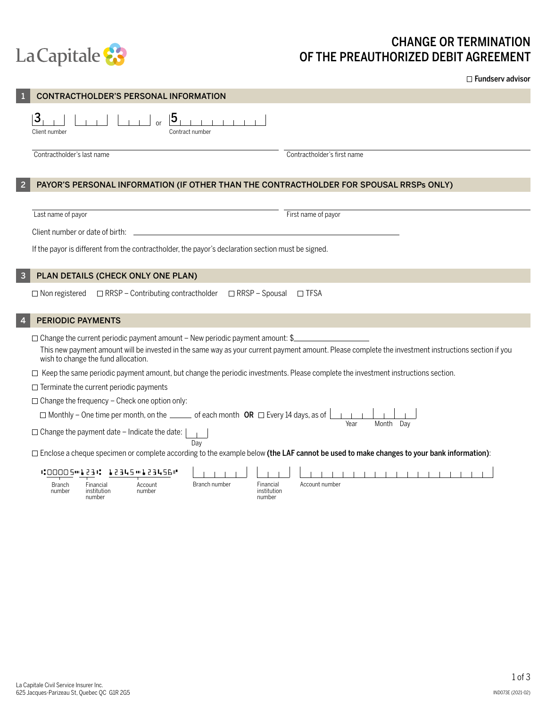

## CHANGE OR TERMINATION OF THE PREAUTHORIZED DEBIT AGREEMENT

□ Fundserv advisor

| CONTRACTHOLDER'S PERSONAL INFORMATION                                                                                                                                                                                                                                             |                             |  |  |  |  |
|-----------------------------------------------------------------------------------------------------------------------------------------------------------------------------------------------------------------------------------------------------------------------------------|-----------------------------|--|--|--|--|
| 3<br>5<br>Client number<br>Contract number                                                                                                                                                                                                                                        |                             |  |  |  |  |
| Contractholder's last name                                                                                                                                                                                                                                                        | Contractholder's first name |  |  |  |  |
| PAYOR'S PERSONAL INFORMATION (IF OTHER THAN THE CONTRACTHOLDER FOR SPOUSAL RRSPs ONLY)                                                                                                                                                                                            |                             |  |  |  |  |
|                                                                                                                                                                                                                                                                                   |                             |  |  |  |  |
| Last name of payor                                                                                                                                                                                                                                                                | First name of payor         |  |  |  |  |
| Client number or date of birth:                                                                                                                                                                                                                                                   |                             |  |  |  |  |
| If the payor is different from the contractholder, the payor's declaration section must be signed.                                                                                                                                                                                |                             |  |  |  |  |
| PLAN DETAILS (CHECK ONLY ONE PLAN)                                                                                                                                                                                                                                                |                             |  |  |  |  |
| □ RRSP - Contributing contractholder<br>□ RRSP - Spousal<br>$\Box$ Non registered                                                                                                                                                                                                 | $\Box$ TFSA                 |  |  |  |  |
| <b>PERIODIC PAYMENTS</b>                                                                                                                                                                                                                                                          |                             |  |  |  |  |
| $\Box$ Change the current periodic payment amount - New periodic payment amount: \$<br>This new payment amount will be invested in the same way as your current payment amount. Please complete the investment instructions section if you<br>wish to change the fund allocation. |                             |  |  |  |  |
| □ Keep the same periodic payment amount, but change the periodic investments. Please complete the investment instructions section.                                                                                                                                                |                             |  |  |  |  |
| $\Box$ Terminate the current periodic payments                                                                                                                                                                                                                                    |                             |  |  |  |  |
| $\Box$ Change the frequency – Check one option only:                                                                                                                                                                                                                              |                             |  |  |  |  |
| $\Box$ Monthly - One time per month, on the _____ of each month OR $\Box$ Every 14 days, as of<br>Year<br>Month<br>Dav                                                                                                                                                            |                             |  |  |  |  |
| $\Box$ Change the payment date - Indicate the date:<br>Day                                                                                                                                                                                                                        |                             |  |  |  |  |
| $\Box$ Enclose a cheque specimen or complete according to the example below (the LAF cannot be used to make changes to your bank information):                                                                                                                                    |                             |  |  |  |  |
| #00005 ** 123 *: 12345 ** 123456 **                                                                                                                                                                                                                                               | 1111111111                  |  |  |  |  |
| Branch number<br>Financial<br><b>Branch</b><br>Financial<br>Account<br>number<br>institution<br>number<br>institution<br>number<br>number                                                                                                                                         | Account number              |  |  |  |  |
|                                                                                                                                                                                                                                                                                   |                             |  |  |  |  |
|                                                                                                                                                                                                                                                                                   |                             |  |  |  |  |
|                                                                                                                                                                                                                                                                                   |                             |  |  |  |  |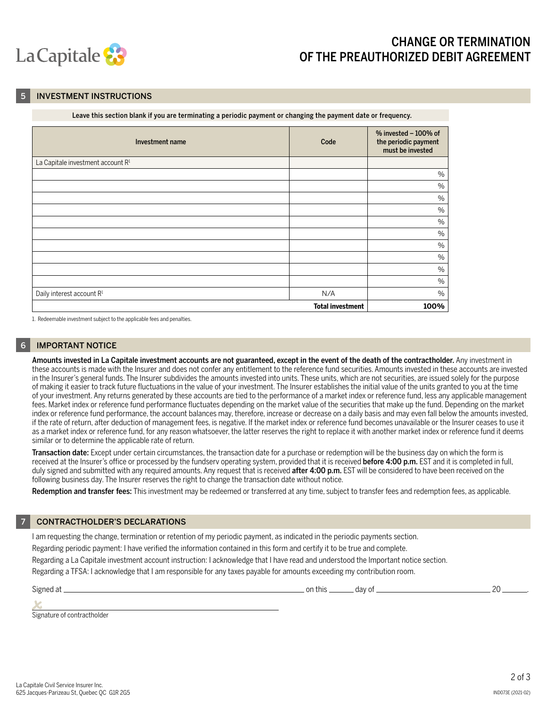

### CHANGE OR TERMINATION OF THE PREAUTHORIZED DEBIT AGREEMENT

#### **INVESTMENT INSTRUCTIONS**

| Leave this section blank if you are terminating a periodic payment or changing the payment date or frequency. |
|---------------------------------------------------------------------------------------------------------------|
|---------------------------------------------------------------------------------------------------------------|

| Investment name                       | Code | % invested $-100%$ of<br>the periodic payment<br>must be invested |  |
|---------------------------------------|------|-------------------------------------------------------------------|--|
| La Capitale investment account R1     |      |                                                                   |  |
|                                       |      | $\%$                                                              |  |
|                                       |      | $\%$                                                              |  |
|                                       |      | $\%$                                                              |  |
|                                       |      | $\%$                                                              |  |
|                                       |      | $\%$                                                              |  |
|                                       |      | $\%$                                                              |  |
|                                       |      | $\%$                                                              |  |
|                                       |      | $\%$                                                              |  |
|                                       |      | $\%$                                                              |  |
|                                       |      | $\%$                                                              |  |
| Daily interest account R <sup>1</sup> | N/A  | $\%$                                                              |  |
| <b>Total investment</b><br>100%       |      |                                                                   |  |

1. Redeemable investment subject to the applicable fees and penalties.

#### **IMPORTANT NOTICE**

Amounts invested in La Capitale investment accounts are not guaranteed, except in the event of the death of the contractholder. Any investment in these accounts is made with the Insurer and does not confer any entitlement to the reference fund securities. Amounts invested in these accounts are invested in the Insurer's general funds. The Insurer subdivides the amounts invested into units. These units, which are not securities, are issued solely for the purpose of making it easier to track future fluctuations in the value of your investment. The Insurer establishes the initial value of the units granted to you at the time of your investment. Any returns generated by these accounts are tied to the performance of a market index or reference fund, less any applicable management fees. Market index or reference fund performance fluctuates depending on the market value of the securities that make up the fund. Depending on the market index or reference fund performance, the account balances may, therefore, increase or decrease on a daily basis and may even fall below the amounts invested, if the rate of return, after deduction of management fees, is negative. If the market index or reference fund becomes unavailable or the Insurer ceases to use it as a market index or reference fund, for any reason whatsoever, the latter reserves the right to replace it with another market index or reference fund it deems similar or to determine the applicable rate of return.

Transaction date: Except under certain circumstances, the transaction date for a purchase or redemption will be the business day on which the form is received at the Insurer's office or processed by the fundserv operating system, provided that it is received **before 4:00 p.m.** EST and it is completed in full, duly signed and submitted with any required amounts. Any request that is received after 4:00 p.m. EST will be considered to have been received on the following business day. The Insurer reserves the right to change the transaction date without notice.

Redemption and transfer fees: This investment may be redeemed or transferred at any time, subject to transfer fees and redemption fees, as applicable.

#### 7 CONTRACTHOLDER'S DECLARATIONS

I am requesting the change, termination or retention of my periodic payment, as indicated in the periodic payments section.

Regarding periodic payment: I have verified the information contained in this form and certify it to be true and complete.

Regarding a La Capitale investment account instruction: I acknowledge that I have read and understood the Important notice section.

Regarding a TFSA: I acknowledge that I am responsible for any taxes payable for amounts exceeding my contribution room.

Signed at on this day of 20 .

*x* Signature of contractholder